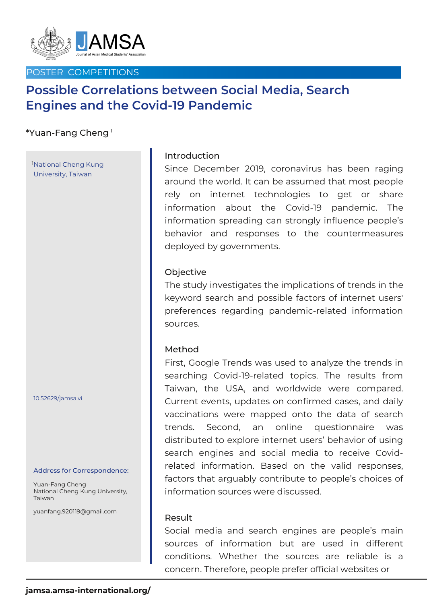

## POSTER COMPETITIONS

# **Possible Correlations between Social Media, Search Engines and the Covid-19 Pandemic**

# $^{\ast}$ Yuan-Fang Cheng  $^{\textrm{\texttt{!}}}$

National Cheng Kung 1 University, Taiwan

10.52629/jamsa.vi

#### Address for Correspondence:

Yuan-Fang Cheng National Cheng Kung University, Taiwan

yuanfang.920119@gmail.com

## Introduction

Since December 2019, coronavirus has been raging around the world. It can be assumed that most people rely on internet technologies to get or share information about the Covid-19 pandemic. The information spreading can strongly influence people's behavior and responses to the countermeasures deployed by governments.

## **Objective**

The study investigates the implications of trends in the keyword search and possible factors of internet users' preferences regarding pandemic-related information sources.

#### Method

First, Google Trends was used to analyze the trends in searching Covid-19-related topics. The results from Taiwan, the USA, and worldwide were compared. Current events, updates on confirmed cases, and daily vaccinations were mapped onto the data of search trends. Second, an online questionnaire was distributed to explore internet users' behavior of using search engines and social media to receive Covidrelated information. Based on the valid responses, factors that arguably contribute to people's choices of information sources were discussed.

#### Result

Social media and search engines are people's main sources of information but are used in different conditions. Whether the sources are reliable is a concern. Therefore, people prefer official websites or